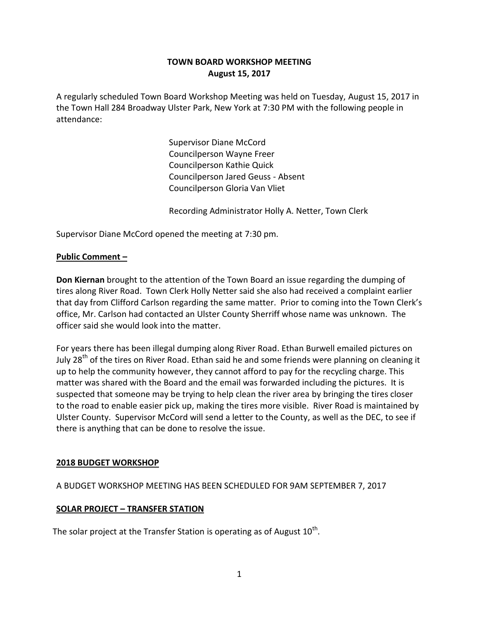# **TOWN BOARD WORKSHOP MEETING August 15, 2017**

A regularly scheduled Town Board Workshop Meeting was held on Tuesday, August 15, 2017 in the Town Hall 284 Broadway Ulster Park, New York at 7:30 PM with the following people in attendance:

> Supervisor Diane McCord Councilperson Wayne Freer Councilperson Kathie Quick Councilperson Jared Geuss - Absent Councilperson Gloria Van Vliet

Recording Administrator Holly A. Netter, Town Clerk

Supervisor Diane McCord opened the meeting at 7:30 pm.

### **Public Comment –**

**Don Kiernan** brought to the attention of the Town Board an issue regarding the dumping of tires along River Road. Town Clerk Holly Netter said she also had received a complaint earlier that day from Clifford Carlson regarding the same matter. Prior to coming into the Town Clerk's office, Mr. Carlson had contacted an Ulster County Sherriff whose name was unknown. The officer said she would look into the matter.

For years there has been illegal dumping along River Road. Ethan Burwell emailed pictures on July 28<sup>th</sup> of the tires on River Road. Ethan said he and some friends were planning on cleaning it up to help the community however, they cannot afford to pay for the recycling charge. This matter was shared with the Board and the email was forwarded including the pictures. It is suspected that someone may be trying to help clean the river area by bringing the tires closer to the road to enable easier pick up, making the tires more visible. River Road is maintained by Ulster County. Supervisor McCord will send a letter to the County, as well as the DEC, to see if there is anything that can be done to resolve the issue.

#### **2018 BUDGET WORKSHOP**

### A BUDGET WORKSHOP MEETING HAS BEEN SCHEDULED FOR 9AM SEPTEMBER 7, 2017

### **SOLAR PROJECT – TRANSFER STATION**

The solar project at the Transfer Station is operating as of August  $10^{\text{th}}$ .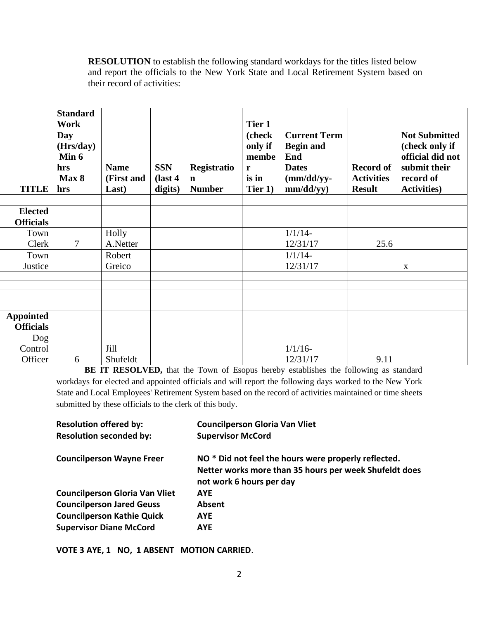**RESOLUTION** to establish the following standard workdays for the titles listed below and report the officials to the New York State and Local Retirement System based on their record of activities:

| <b>TITLE</b>                         | <b>Standard</b><br>Work<br>Day<br>(Hrs/day)<br>Min 6<br>hrs<br>Max 8<br>hrs | <b>Name</b><br>(First and<br>Last) | <b>SSN</b><br>$\int$ ast 4<br>digits) | Registratio<br>$\mathbf n$<br><b>Number</b> | Tier 1<br>(check<br>only if<br>membe<br>$\mathbf{r}$<br>is in<br>Tier 1) | <b>Current Term</b><br><b>Begin and</b><br>End<br><b>Dates</b><br>$(mm/dd/yy-$<br>mm/dd/yy) | <b>Record of</b><br><b>Activities</b><br><b>Result</b> | <b>Not Submitted</b><br>(check only if<br>official did not<br>submit their<br>record of<br><b>Activities</b> ) |
|--------------------------------------|-----------------------------------------------------------------------------|------------------------------------|---------------------------------------|---------------------------------------------|--------------------------------------------------------------------------|---------------------------------------------------------------------------------------------|--------------------------------------------------------|----------------------------------------------------------------------------------------------------------------|
|                                      |                                                                             |                                    |                                       |                                             |                                                                          |                                                                                             |                                                        |                                                                                                                |
| <b>Elected</b>                       |                                                                             |                                    |                                       |                                             |                                                                          |                                                                                             |                                                        |                                                                                                                |
| <b>Officials</b>                     |                                                                             |                                    |                                       |                                             |                                                                          |                                                                                             |                                                        |                                                                                                                |
| Town                                 |                                                                             | Holly                              |                                       |                                             |                                                                          | $1/1/14$ -                                                                                  |                                                        |                                                                                                                |
| Clerk                                | 7                                                                           | A.Netter                           |                                       |                                             |                                                                          | 12/31/17                                                                                    | 25.6                                                   |                                                                                                                |
| Town                                 |                                                                             | Robert                             |                                       |                                             |                                                                          | $1/1/14$ -                                                                                  |                                                        |                                                                                                                |
| Justice                              |                                                                             | Greico                             |                                       |                                             |                                                                          | 12/31/17                                                                                    |                                                        | $\mathbf{X}$                                                                                                   |
|                                      |                                                                             |                                    |                                       |                                             |                                                                          |                                                                                             |                                                        |                                                                                                                |
|                                      |                                                                             |                                    |                                       |                                             |                                                                          |                                                                                             |                                                        |                                                                                                                |
|                                      |                                                                             |                                    |                                       |                                             |                                                                          |                                                                                             |                                                        |                                                                                                                |
|                                      |                                                                             |                                    |                                       |                                             |                                                                          |                                                                                             |                                                        |                                                                                                                |
| <b>Appointed</b><br><b>Officials</b> |                                                                             |                                    |                                       |                                             |                                                                          |                                                                                             |                                                        |                                                                                                                |
| Dog                                  |                                                                             |                                    |                                       |                                             |                                                                          |                                                                                             |                                                        |                                                                                                                |
| Control                              |                                                                             | Jill                               |                                       |                                             |                                                                          | $1/1/16$ -                                                                                  |                                                        |                                                                                                                |
| Officer                              | 6                                                                           | Shufeldt                           |                                       |                                             |                                                                          | 12/31/17                                                                                    | 9.11                                                   |                                                                                                                |

**BE IT RESOLVED,** that the Town of Esopus hereby establishes the following as standard workdays for elected and appointed officials and will report the following days worked to the New York State and Local Employees' Retirement System based on the record of activities maintained or time sheets submitted by these officials to the clerk of this body.

| <b>Resolution offered by:</b>         | <b>Councilperson Gloria Van Vliet</b>                           |  |  |  |  |
|---------------------------------------|-----------------------------------------------------------------|--|--|--|--|
| <b>Resolution seconded by:</b>        | <b>Supervisor McCord</b>                                        |  |  |  |  |
| <b>Councilperson Wayne Freer</b>      | NO <sup>*</sup> Did not feel the hours were properly reflected. |  |  |  |  |
|                                       | Netter works more than 35 hours per week Shufeldt does          |  |  |  |  |
|                                       | not work 6 hours per day                                        |  |  |  |  |
| <b>Councilperson Gloria Van Vliet</b> | <b>AYE</b>                                                      |  |  |  |  |
| <b>Councilperson Jared Geuss</b>      | Absent                                                          |  |  |  |  |
| <b>Councilperson Kathie Quick</b>     | <b>AYE</b>                                                      |  |  |  |  |
| <b>Supervisor Diane McCord</b>        | <b>AYE</b>                                                      |  |  |  |  |

**VOTE 3 AYE, 1 NO, 1 ABSENT MOTION CARRIED**.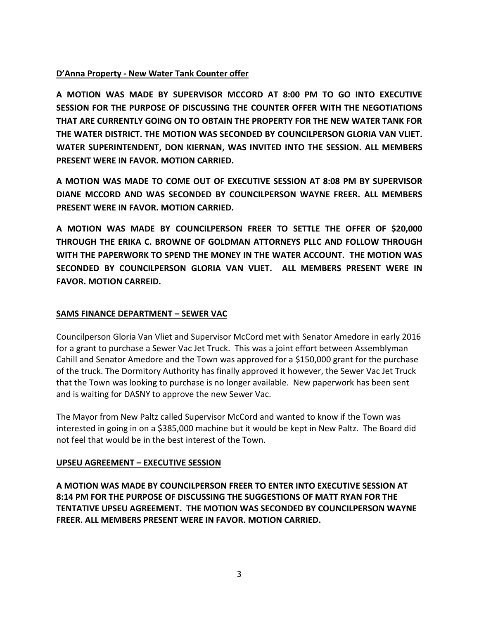# **D'Anna Property - New Water Tank Counter offer**

**A MOTION WAS MADE BY SUPERVISOR MCCORD AT 8:00 PM TO GO INTO EXECUTIVE SESSION FOR THE PURPOSE OF DISCUSSING THE COUNTER OFFER WITH THE NEGOTIATIONS THAT ARE CURRENTLY GOING ON TO OBTAIN THE PROPERTY FOR THE NEW WATER TANK FOR THE WATER DISTRICT. THE MOTION WAS SECONDED BY COUNCILPERSON GLORIA VAN VLIET. WATER SUPERINTENDENT, DON KIERNAN, WAS INVITED INTO THE SESSION. ALL MEMBERS PRESENT WERE IN FAVOR. MOTION CARRIED.**

**A MOTION WAS MADE TO COME OUT OF EXECUTIVE SESSION AT 8:08 PM BY SUPERVISOR DIANE MCCORD AND WAS SECONDED BY COUNCILPERSON WAYNE FREER. ALL MEMBERS PRESENT WERE IN FAVOR. MOTION CARRIED.**

**A MOTION WAS MADE BY COUNCILPERSON FREER TO SETTLE THE OFFER OF \$20,000 THROUGH THE ERIKA C. BROWNE OF GOLDMAN ATTORNEYS PLLC AND FOLLOW THROUGH WITH THE PAPERWORK TO SPEND THE MONEY IN THE WATER ACCOUNT. THE MOTION WAS SECONDED BY COUNCILPERSON GLORIA VAN VLIET. ALL MEMBERS PRESENT WERE IN FAVOR. MOTION CARREID.**

### **SAMS FINANCE DEPARTMENT – SEWER VAC**

Councilperson Gloria Van Vliet and Supervisor McCord met with Senator Amedore in early 2016 for a grant to purchase a Sewer Vac Jet Truck. This was a joint effort between Assemblyman Cahill and Senator Amedore and the Town was approved for a \$150,000 grant for the purchase of the truck. The Dormitory Authority has finally approved it however, the Sewer Vac Jet Truck that the Town was looking to purchase is no longer available. New paperwork has been sent and is waiting for DASNY to approve the new Sewer Vac.

The Mayor from New Paltz called Supervisor McCord and wanted to know if the Town was interested in going in on a \$385,000 machine but it would be kept in New Paltz. The Board did not feel that would be in the best interest of the Town.

### **UPSEU AGREEMENT – EXECUTIVE SESSION**

**A MOTION WAS MADE BY COUNCILPERSON FREER TO ENTER INTO EXECUTIVE SESSION AT 8:14 PM FOR THE PURPOSE OF DISCUSSING THE SUGGESTIONS OF MATT RYAN FOR THE TENTATIVE UPSEU AGREEMENT. THE MOTION WAS SECONDED BY COUNCILPERSON WAYNE FREER. ALL MEMBERS PRESENT WERE IN FAVOR. MOTION CARRIED.**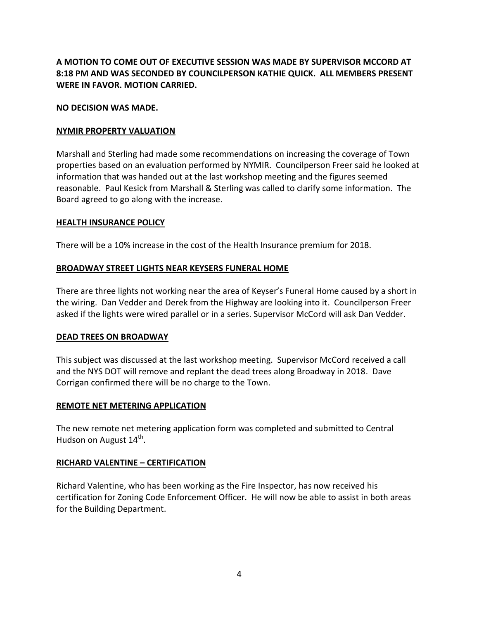**A MOTION TO COME OUT OF EXECUTIVE SESSION WAS MADE BY SUPERVISOR MCCORD AT 8:18 PM AND WAS SECONDED BY COUNCILPERSON KATHIE QUICK. ALL MEMBERS PRESENT WERE IN FAVOR. MOTION CARRIED.**

### **NO DECISION WAS MADE.**

### **NYMIR PROPERTY VALUATION**

Marshall and Sterling had made some recommendations on increasing the coverage of Town properties based on an evaluation performed by NYMIR. Councilperson Freer said he looked at information that was handed out at the last workshop meeting and the figures seemed reasonable. Paul Kesick from Marshall & Sterling was called to clarify some information. The Board agreed to go along with the increase.

#### **HEALTH INSURANCE POLICY**

There will be a 10% increase in the cost of the Health Insurance premium for 2018.

#### **BROADWAY STREET LIGHTS NEAR KEYSERS FUNERAL HOME**

There are three lights not working near the area of Keyser's Funeral Home caused by a short in the wiring. Dan Vedder and Derek from the Highway are looking into it. Councilperson Freer asked if the lights were wired parallel or in a series. Supervisor McCord will ask Dan Vedder.

#### **DEAD TREES ON BROADWAY**

This subject was discussed at the last workshop meeting. Supervisor McCord received a call and the NYS DOT will remove and replant the dead trees along Broadway in 2018. Dave Corrigan confirmed there will be no charge to the Town.

#### **REMOTE NET METERING APPLICATION**

The new remote net metering application form was completed and submitted to Central Hudson on August 14<sup>th</sup>.

#### **RICHARD VALENTINE – CERTIFICATION**

Richard Valentine, who has been working as the Fire Inspector, has now received his certification for Zoning Code Enforcement Officer. He will now be able to assist in both areas for the Building Department.